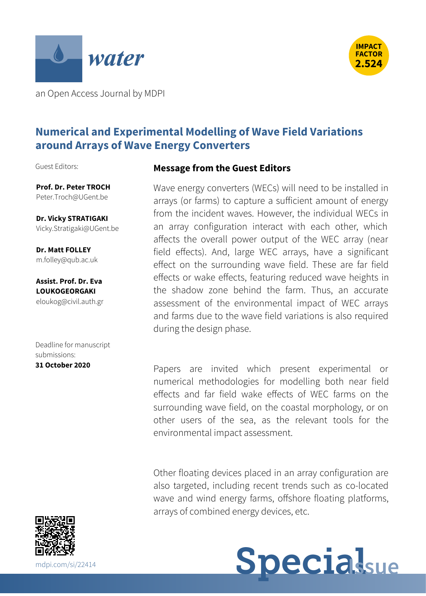



an Open Access Journal by MDPI

# **Numerical and Experimental Modelling of Wave Field Variations around Arrays of Wave Energy Converters**

Guest Editors:

**Prof. Dr. Peter TROCH** [Peter.Troch@UGent.be](mailto:%2550%2565%2574%2565%2572.%2554%2572%256f%2563%2568@%2555%2547%2565%256e%2574.%2562%2565)

**Dr. Vicky STRATIGAKI** [Vicky.Stratigaki@UGent.be](mailto:%2556%2569%2563%256b%2579.%2553%2574%2572%2561%2574%2569%2567%2561%256b%2569@%2555%2547%2565%256e%2574.%2562%2565)

**Dr. Matt FOLLEY** [m.folley@qub.ac.uk](mailto:%256d.%2566%256f%256c%256c%2565%2579@%2571%2575%2562.%2561%2563.%2575%256b)

**Assist. Prof. Dr. Eva LOUKOGEORGAKI** [eloukog@civil.auth.gr](mailto:%2565%256c%256f%2575%256b%256f%2567@%2563%2569%2576%2569%256c.%2561%2575%2574%2568.%2567%2572)

Deadline for manuscript submissions: **31 October 2020**

### **Message from the Guest Editors**

Wave energy converters (WECs) will need to be installed in arrays (or farms) to capture a sufficient amount of energy from the incident waves. However, the individual WECs in an array configuration interact with each other, which affects the overall power output of the WEC array (near field effects). And, large WEC arrays, have a significant effect on the surrounding wave field. These are far field effects or wake effects, featuring reduced wave heights in the shadow zone behind the farm. Thus, an accurate assessment of the environmental impact of WEC arrays and farms due to the wave field variations is also required during the design phase.

Papers are invited which present experimental or numerical methodologies for modelling both near field effects and far field wake effects of WEC farms on the surrounding wave field, on the coastal morphology, or on other users of the sea, as the relevant tools for the environmental impact assessment.

Other floating devices placed in an array configuration are also targeted, including recent trends such as co-located wave and wind energy farms, offshore floating platforms, arrays of combined energy devices, etc.